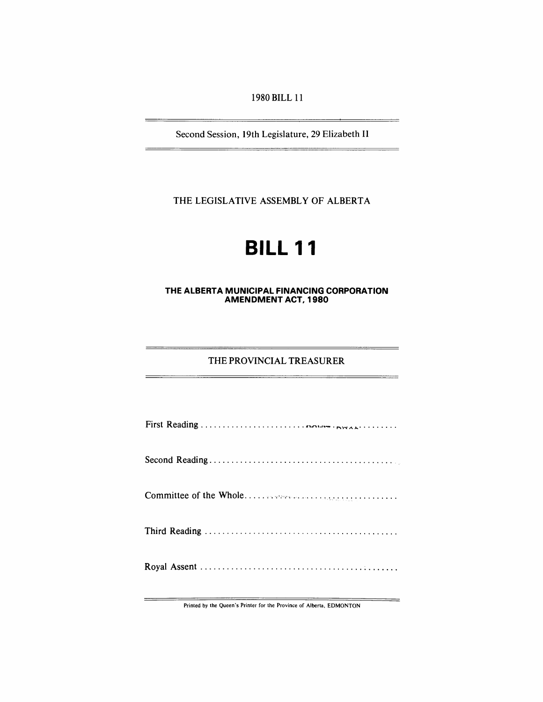1980 BILL 11

Second Session, 19th Legislature, 29 Elizabeth II

THE LEGISLATIVE ASSEMBLY OF ALBERTA

# **BILL 11**

#### **THE ALBERTA MUNICIPAL FINANCING CORPORATION AMENDMENT ACT, 1980**

#### THE PROVINCIAL TREASURER

Printed by the Queen's Printer for the Province of Alberta, EDMONTON

 $=$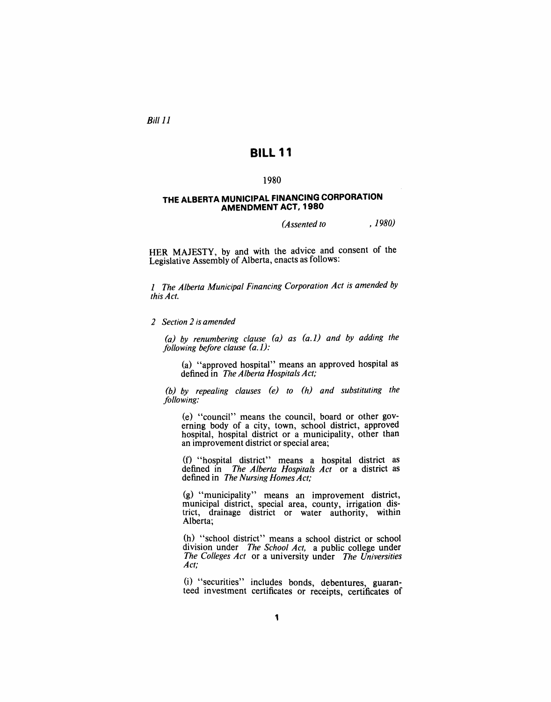Bill 11

# **BILL 11**

#### 1980

#### **THE ALBERTA MUNICIPAL FINANCING CORPORATION AMENDMENT ACT, 1980**

*(Assented to , 1980)* 

HER MAJESTY, by and with the advice and consent of the Legislative Assembly of Alberta, enacts as follows:

*1 The Alberta Municipal Financing Corporation Act is amended by this Act.* 

*2 Section* 2 *is amended* 

*(a) by renumbering clause (a) as (a.1) and by adding the folloWing before clause (a.1):* 

(a) "approved hospital" means an approved hospital as defined in *The Alberta Hospitals Act;* 

*(b) by repealing clauses (e) to (h) and substituting the following:* 

(e) "council" means the council, board or other governing body of a city, town, school district, approved hospital, hospital district or a municipality, other than an improvement district or special area;

(f) "hospital district" means a hospital district as defined in *The Alberta Hospitals Act* or a district as defined in *The Nursing Homes Act;* 

(g) "municipality" means an improvement district, municipal district, special area, county, irrigation district, drainage district or water authority, within Alberta;

(h) "school district" means a school district or school division under *The School Act,* a public college under *The Colleges Act* or a university under *The Universities Act;* 

 $(i)$  "securities" includes bonds, debentures, guaranteed investment certificates or receipts, certificates of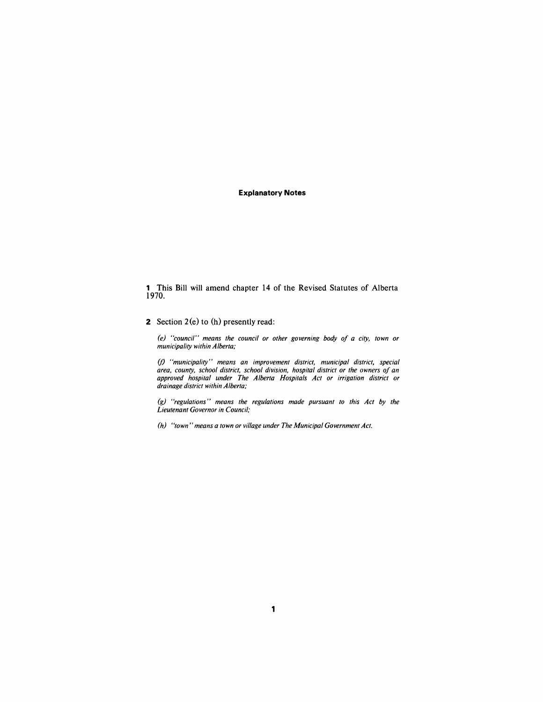#### **Explanatory Notes**

1 This Bill will amend chapter 14 of the Revised Statutes of Alberta 1970.

#### 2 Section  $2(e)$  to  $(h)$  presently read:

*(e)* "council" means the council or other governing body of a city, town or *municipality within Alberta;* 

(f) *"municipality" means an improvement district, municipal district, special area, county, school district, school division, hospital district or the owners* 0/ *an approved hospital under The Alberta Hospitals Act or irrigation district or drainage district within Alberta;* 

*(g) "regulations" means the regulations made pursuant to this Act by the Lieutenant Governor in Council;* 

*(h) "town" means a town or village under The Municipal Government Act.*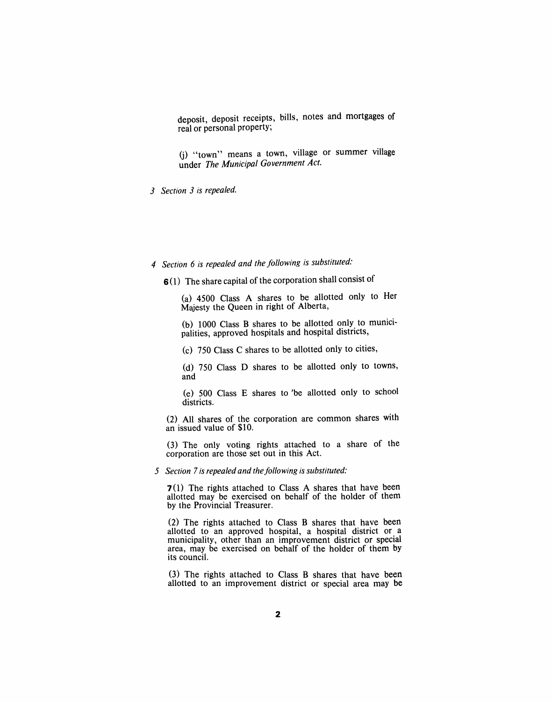deposit, deposit receipts, bills, notes and mortgages of real or personal property;

G) "town" means a town, village or summer village under *The Municipal Government Act.* 

*3 Section* 3 *is repealed.* 

## *4 Section* 6 *is repealed and the following is substituted:*

6(1) The share capital of the corporation shall consist of

(a) 4500 Class A shares to be allotted only to Her Majesty the Queen in right of Alberta,

(b) 1000 Class B shares to be allotted only to municipalities, approved hospitals and hospital districts,

(c) 750 Class C shares to be allotted only to cities,

(d) 750 Class D shares to be allotted only to towns, and

(e) 500 Class E shares to 'be allotted only to school districts.

(2) All shares of the corporation are common shares with an issued value of \$10.

(3) The only voting rights attached to a share of the corporation are those set out in this Act.

#### *f* Section 7 is repealed and the following is substituted:

7 (1) The rights attached to Class A shares that have been allotted may be exercised on behalf of the holder of them by the Provincial Treasurer.

(2) The rights attached to Class B shares that have been allotted to an approved hospital, a hospital district or a municipality, other than an improvement district or special area, may be exercised on behalf of the holder of them by its council.

(3) The rights attached to Class B shares that have been allotted to an improvement district or special area may be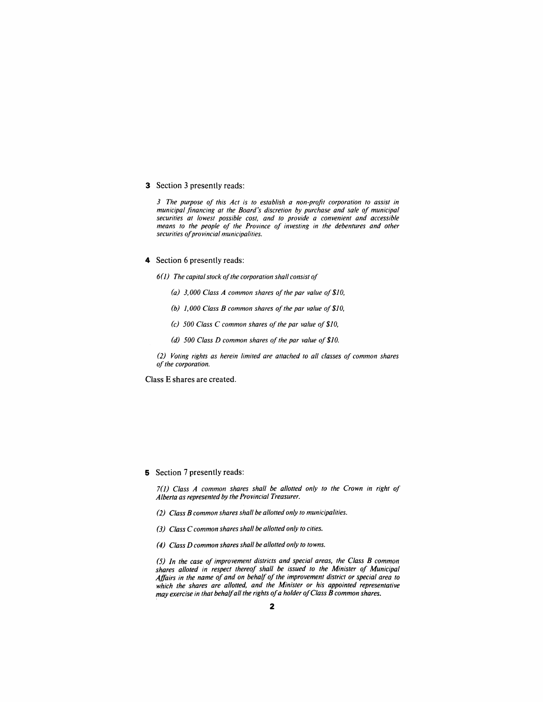#### 3 Section 3 presently reads:

*3 The purpose of this Act is to establish a non-profit corporation to assist in municipal financing at the Board's discretion by purchase and sale of municipal securities at lowest possible cost, and to provide a convenient and accessible means to the people of the Province of investing in the debentures and other*   $securities of provided municipal.$ 

#### 4 Section 6 presently reads:

*6(J) The capital stock of the corporation shall consist of* 

- *(a)* 3,000 Class A common shares of the par value of \$10,
- *(b) 1,000 Class B common shares of the par value of\$10,*
- *(c) 500 Class* C *common shares of the par value of \$10,*
- *(d) 500 Class D common shares of the par value of \$10.*

*(2) Voting rights as herein limited are attached to all classes of common shares of the corporation.* 

Class E shares are created.

#### 5 Section 7 presently reads:

*l(J) Class A common shares shall be allotted only to the Crown in right of Alberta as represented by the Provincial Treasurer.* 

- *(2) Class B common shares shall be allotted only to municipalities.*
- *(3) Class* C *common shares shall be allotted only to cities.*
- *(4) Class D common shares shall be allotted only to towns.*

*(5) In the case of improvement districts and special areas, the Class B common shares alloted in respect thereof shall be issued to the Minister of Municipal Affairs in the name of and on behalf of the improvement district or special area to*  which the shares are allotted, and the Minister or his appointed representative *may exercise in that behalf all the rights of a holder of Class B common shares.*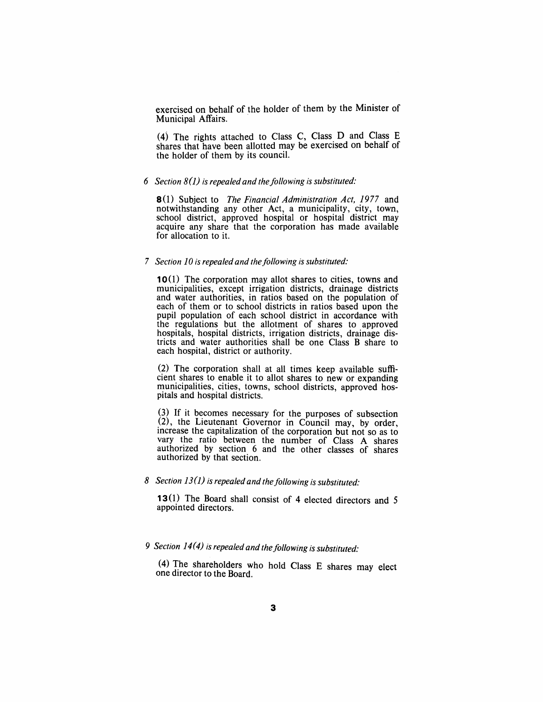exercised on behalf of the holder of them by the Minister of Municipal Affairs. .

(4) The rights attached to Class C, Class D and Class E shares that have been allotted may be exercised on behalf of the holder of them by its council.

#### *6 Section* 8(]) *is repealed and the/ollowing is substituted:*

8(1) Subject to *The Financial Administration Act,* 1977 and notwithstanding any other Act, a municipality, city, town, school district, approved hospital or hospital district may acquire any share that the corporation has made available for allocation to it.

#### *7 Section 10 is repealed and the following is substituted:*

10(1) The corporation may allot shares to cities, towns and municipalities, except irrigation districts, drainage districts and water authorities, in ratios based on the population of each of them or to school districts in ratios based upon the pupil population of each school district in accordance with the regulations but the allotment of shares to approved hospitals, hospital districts, irrigation districts, drainage districts and water authorities shall be one Class B share to each hospital, district or authority.

(2) The corporation shall at all times keep available sufficient shares to enable it to allot shares to new or expanding municipalities, cities, towns, school districts, approved hospitals and hospital districts.

(3) If it becomes necessary for the purposes of subsection (2), the Lieutenant Governor in Council may, by order, increase the capitalization of the corporation but not so as to vary the ratio between the number of Class A shares authorized by section 6 and the other classes of shares authorized by that section.

#### *8 Section* 13(]) *is repealed and the/ollowing is substituted:*

**13**(1) The Board shall consist of 4 elected directors and 5 appointed directors.

# *9 Section* 14 (4) *is repealed and the/ollowing is substituted:*

(4) The shareholders who hold Class E shares may elect one director to the Board.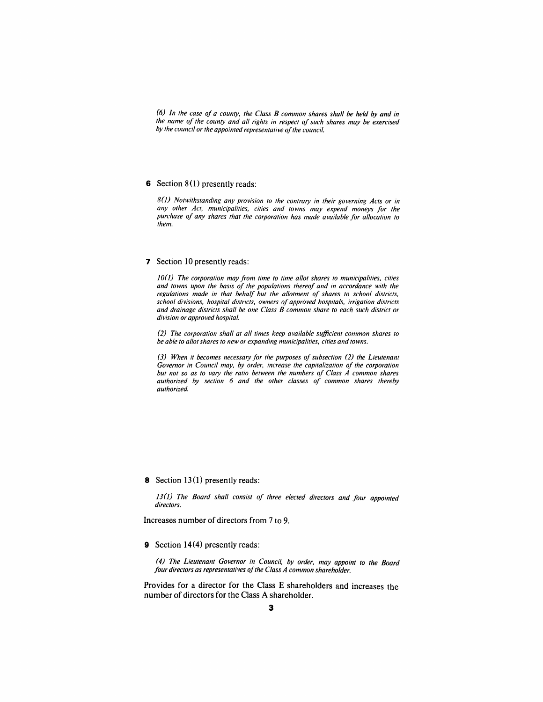*(6) In the case of a county, the Class B common shares shall be held by and in the name of the county and all rights in respect of such shares may be exercised*  by the council or the appointed representative of the council.

#### 6 Section  $8(1)$  presently reads:

80) *Notwithstanding any provision to the contrary in their governing Acts or in any other Act, municipalities, cities and towns may expend moneys for the purchase of any shares that the corporation has made available for allocation to them.* 

#### 7 Section 10 presently reads:

*10(1)* The corporation may from time to time allot shares to municipalities, cities *and towns upon the basis of the populations thereof and in accordance with the regulations made in that behalf but the allotment of shares to school districts, school divisions, hospital districts, owners of approved hospitals, irrigation districts and drainage districts shall be one Class B common share to each such district or division or approved hospital.* 

*(2) The corporation shall at all times keep available sufficient common shares to be able to allot shares to new or expanding municipalities, cities and towns.* 

*(3) When it becomes necessary for the purposes of subsection* (2) *the Lieutenant Governor in Council may, by order, increase the capitalization of the corporation but not so as to vary the ratio between the numbers of Class A common shares authorized by section* 6 *and the other classes of common shares thereby authorized.* 

8 Section 13(1) presently reads:

13(1) The Board shall consist of three elected directors and four appointed *directors.* 

Increases number of directors from 7 to 9.

9 Section 14(4) presently reads:

*(4) The Lieutenant Governor in Council, by order, may appoint to the Board four directors as representatives of the Class A common shareholder.* 

Provides for a director for the Class E shareholders and increases the number of directors for the Class A shareholder.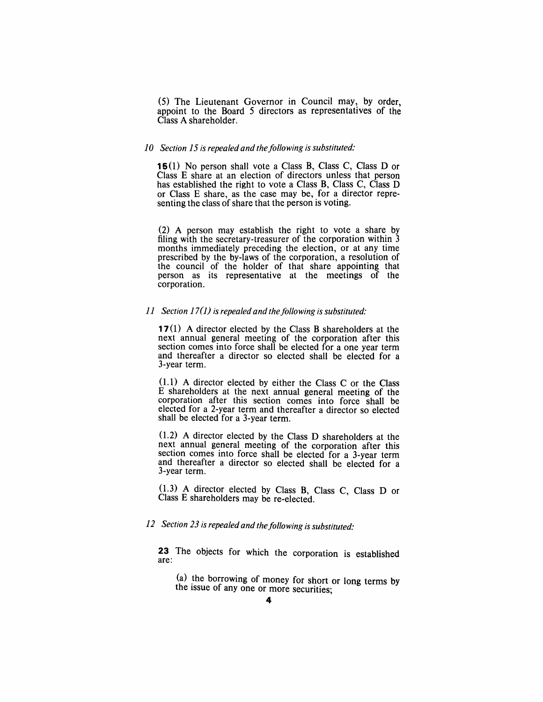(5) The Lieutenant Governor in Council may, by order, appoint to the Board 5 directors as representatives of the Class A shareholder.

#### *10 Section* 15 *is repealed and the/ollowing is substituted:*

**15(1)** No person shall vote a Class B, Class C, Class D or Class E share at an election of directors unless that person has established the right to vote a Class B, Class C, Class D or Class E share, as the case may be, for a director representing the class of share that the person is voting.

(2) A person may establish the right to vote a share by filing with the secretary-treasurer of the corporation within 3 months immediately preceding the election, or at any time prescribed by the by-laws of the corporation, a resolution of the council of the holder of that share appointing that person as its representative at the meetings of the corporation.

#### *11 Section* 17(1) *is repealed and the/ollowing is substituted:*

**17** (1) A director elected by the Class B shareholders at the next annual general meeting of the corporation after this section comes into force shall be elected for a one year term and thereafter a director so elected shall be elected for a 3-year term.

(1.1) A director elected by either the Class C or the Class E shareholders at the next annual general meeting of the corporation after this section comes into force shall be elected for a 2-year term and thereafter a director so elected shall be elected for a 3-year term.

(1.2) A director elected by the Class D shareholders at the next annual general meeting of the corporation after this section comes into force shall be elected for a 3-year term and thereafter a director so elected shall be elected for a 3-year term.

(1.3) A director elected by Class B, Class C, Class D or Class E shareholders may be re-elected.

## *12 Section* 23 *is repealed and the/ollowing is substituted:*

**23** The objects for which the corporation is established are:

(a) the borrowing of money for short or long terms by the issue of any one or more securities;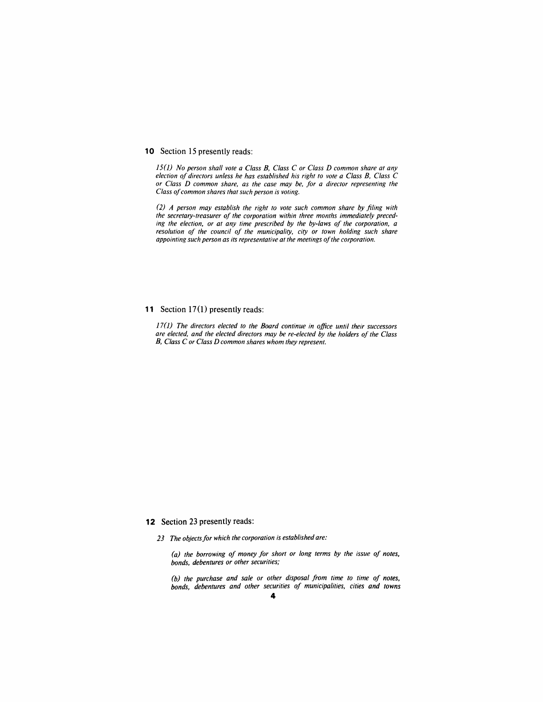#### 10 Section 15 presently reads:

*15 (J) No person shall vote a Class B, Class* C *or Class D common share at any election oj directors unless he has established his right to vote a Class B, Class* C *or Class D common share, as the case may be, Jor a director representing the Class oj common shares that such person is voting.* 

*(2) A person may establish the right to vote such common share by filing with the secretary-treasurer oj the corporation within three months immediately preceding the election, or at any time prescribed by the by-laws oj the corporation, a resolution oj the council oj the municipality, city or town holding such share appointing such person as its representative at the meetings of the corporation.* 

#### **11** Section 17(1) presently reads:

*17(J) The directors elected to the Board continue in office until their successors are elected, and the elected directors may be re-elected by the holders oj the Class B, Class* C *or Class D common shares whom they represent.* 

#### **12** Section 23 presently reads:

23 The objects for which the corporation is established are:

*(a) the borrowing oj money Jor short or long terms by the issue oj notes, bonds, debentures or other securities;* 

*(b) the purchase and sale or other disposal Jrom time to time oj notes, bonds, debentures and other securities oj municipalities, cities and towns*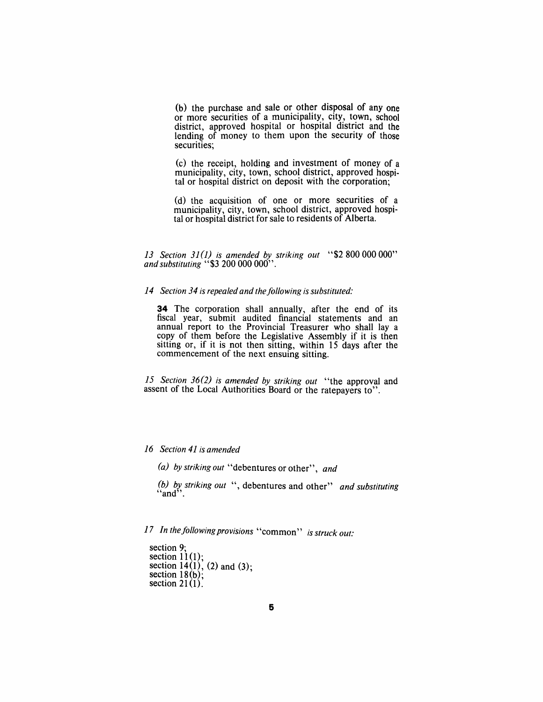(b) the purchase and sale or other disposal of anyone or more securities of a municipality, city, town, school district, approved hospital or hospital district and the lending of money to them upon the security of those securities;

(c) the receipt, holding and investment of money of a municipality, city, town, school district, approved hospital or hospital district on deposit with the corporation;

(d) the acquisition of one or more securities of a municipality, city, town, school district, approved hospital or hospital district for sale to residents of Alberta.

*13 Section* 31 (1) *is amended by striking out* "\$2 800000000" *and substituting* "\$3 200 000 000".

#### 14 Section 34 is repealed and the following is substituted:

**34** The corporation shall annually, after the end of its fiscal year, submit audited financial statements and an annual report to the Provincial Treasurer who shall lay a copy of them before the Legislative Assembly if it is then sitting or, if it is not then sitting, within 15 days after the commencement of the next ensuing sitting.

*15 Section* 36(2) *is amended by striking out* "the approval and assent of the Local Authorities Board or the ratepayers to".

*16 Section* 41 *is amended* 

*(a) by striking out* "debentures or other", *and* 

*(b) by striking out* ", debentures and other" *and substituting* "and" .

*17 In the/allOWing provisions* "common" *is struck out:* 

section 9; section  $11(1)$ ; section  $14(1)$ , (2) and (3); section  $18(b)$ ;  $(2, 3)$ section  $21(1)$ .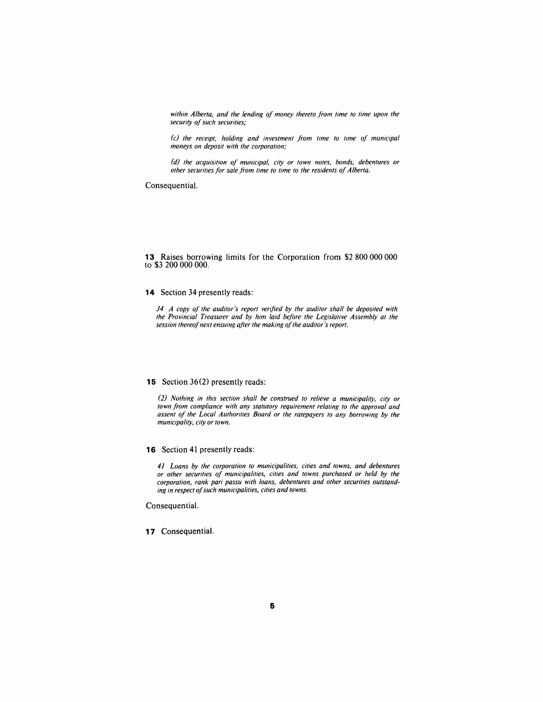*within Alberta, and the lending of money thereto from time to time upon the security of such securities;* 

*(c) the receipt, holding and investment from time to time of municipal moneys on deposit with the corporation;* 

*(d) the acquisition of municipal, city or town notes, bonds, debentures or other securities for sale from time to time to the residents of Alberta.* 

Consequential.

#### **13** Raises borrowing limits for the Corporation from \$2 800 000 000 to \$3 200 000 000.

#### **14** Section 34 presently reads:

*34 A copy of the auditor's report verified by the auditor shall be deposited with the Provincial Treasurer and by him laid before the Legislative Assembly at the session thereof next ensuing after the making of the auditor's report.* 

#### **15** Section 36(2) presently reads:

*(2) Nothing in this section shall be construed to relieve a municipality, city or town from compliance with any statutory requirement relating to the approval and assent of the Local Authorities Board or the ratepayers to any borrowing by the muniCipality, city or town.* 

**16** Section **41** presently reads:

*41 Loans by the corporation to municipalities, cities and towns, and debentures or other securities of municipalities, cities and towns purchased or held by the corporation, rank pari passu with loans, debentures and other securities outstanding in respect of such municipalities, cities and towns.* 

Consequential.

**17** Consequential.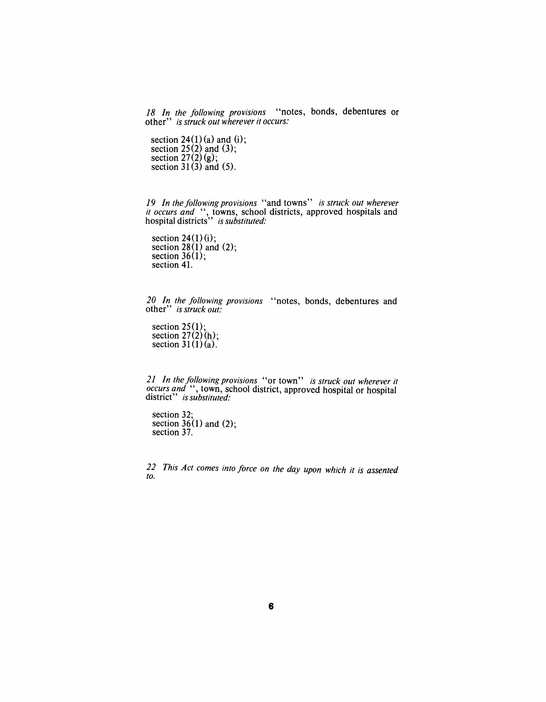*18 In the following provisions* "notes, bonds, debentures or other" *is struck out wherever it occurs:* 

section  $24(1)(a)$  and (i); section  $25(2)$  and  $(3)$ ; section  $27(2)(g)$ ; section  $31(3)$  and  $(5)$ .

*19 In the following provisions* "and towns" *is struck out wherever it occurs and* ", towns, school districts, approved hospitals and hospital districts" *is substituted:* 

section  $24(1)(i)$ ; section  $28(1)$  and  $(2)$ ; section  $36(1)$ ; section 41.

*20 In the following provisions* "notes, bonds, debentures and other" *is struck out:* 

section  $25(1)$ ; section  $27(2)(h)$ ; section  $31(1)(a)$ .

*21 In the following provisions* "or town" *is struck out wherever it occurs and* ", town, school district, approved hospital or hospital district" *is substituted:* 

section 32; section  $36(1)$  and  $(2)$ ; section 37.

*22 This Act comes into force on the day upon which it is assented to.*